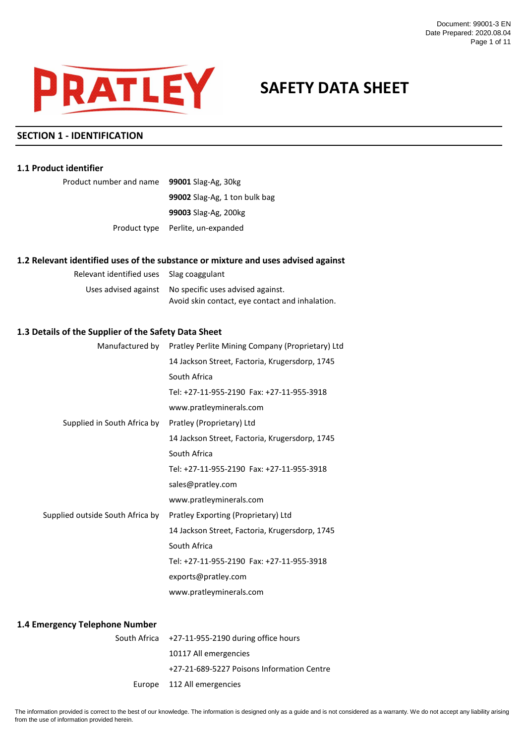

# **SAFETY DATA SHEET**

# **SECTION 1 - IDENTIFICATION**

# **1.1 Product identifier**

Product number and name **99001** Slag-Ag, 30kg Product type Perlite, un-expanded **99002** Slag-Ag, 1 ton bulk bag **99003** Slag-Ag, 200kg

#### **1.2 Relevant identified uses of the substance or mixture and uses advised against**

| Relevant identified uses | Slag coaggulant                                 |
|--------------------------|-------------------------------------------------|
| Uses advised against     | No specific uses advised against.               |
|                          | Avoid skin contact, eve contact and inhalation. |

#### **1.3 Details of the Supplier of the Safety Data Sheet**

| Manufactured by                  | Pratley Perlite Mining Company (Proprietary) Ltd |  |  |
|----------------------------------|--------------------------------------------------|--|--|
|                                  | 14 Jackson Street, Factoria, Krugersdorp, 1745   |  |  |
|                                  | South Africa                                     |  |  |
|                                  |                                                  |  |  |
|                                  | www.pratleyminerals.com                          |  |  |
| Supplied in South Africa by      | Pratley (Proprietary) Ltd                        |  |  |
|                                  | 14 Jackson Street, Factoria, Krugersdorp, 1745   |  |  |
|                                  | South Africa                                     |  |  |
|                                  | Tel: +27-11-955-2190    Fax: +27-11-955-3918     |  |  |
|                                  | sales@pratley.com                                |  |  |
|                                  | www.pratleyminerals.com                          |  |  |
| Supplied outside South Africa by | Pratley Exporting (Proprietary) Ltd              |  |  |
|                                  | 14 Jackson Street, Factoria, Krugersdorp, 1745   |  |  |
|                                  | South Africa                                     |  |  |
|                                  |                                                  |  |  |
|                                  | exports@pratley.com                              |  |  |
|                                  | www.pratleyminerals.com                          |  |  |
|                                  |                                                  |  |  |

#### **1.4 Emergency Telephone Number**

|  | South Africa +27-11-955-2190 during office hours |
|--|--------------------------------------------------|
|  | 10117 All emergencies                            |
|  | +27-21-689-5227 Poisons Information Centre       |
|  | Europe 112 All emergencies                       |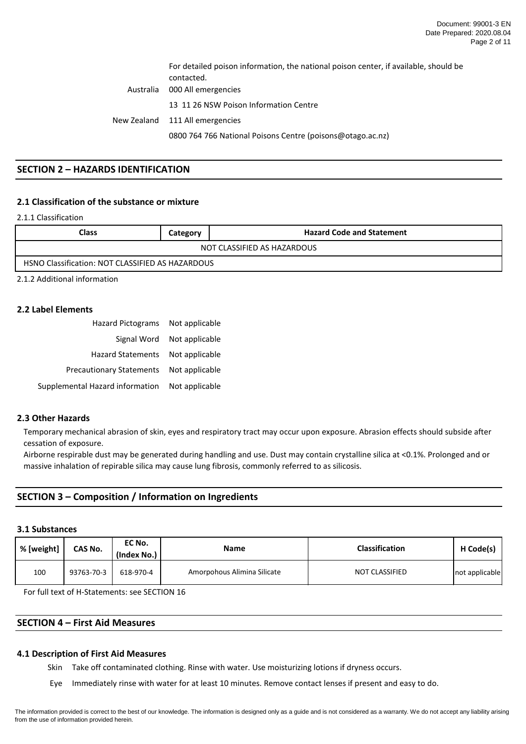|           | For detailed poison information, the national poison center, if available, should be<br>contacted. |
|-----------|----------------------------------------------------------------------------------------------------|
| Australia | 000 All emergencies                                                                                |
|           | 13 11 26 NSW Poison Information Centre                                                             |
|           | New Zealand 111 All emergencies                                                                    |
|           | 0800 764 766 National Poisons Centre (poisons@otago.ac.nz)                                         |

# **SECTION 2 – HAZARDS IDENTIFICATION**

# **2.1 Classification of the substance or mixture**

#### 2.1.1 Classification

| <b>Class</b>                                     | Category | <b>Hazard Code and Statement</b> |  |  |
|--------------------------------------------------|----------|----------------------------------|--|--|
| NOT CLASSIFIED AS HAZARDOUS                      |          |                                  |  |  |
| HSNO Classification: NOT CLASSIFIED AS HAZARDOUS |          |                                  |  |  |

2.1.2 Additional information

### **2.2 Label Elements**

| Hazard Pictograms Not applicable |                |
|----------------------------------|----------------|
| Signal Word                      | Not applicable |
| Hazard Statements                | Not applicable |
| <b>Precautionary Statements</b>  | Not applicable |
| Supplemental Hazard information  | Not applicable |

### **2.3 Other Hazards**

Temporary mechanical abrasion of skin, eyes and respiratory tract may occur upon exposure. Abrasion effects should subside after cessation of exposure.

Airborne respirable dust may be generated during handling and use. Dust may contain crystalline silica at <0.1%. Prolonged and or massive inhalation of repirable silica may cause lung fibrosis, commonly referred to as silicosis.

# **SECTION 3 – Composition / Information on Ingredients**

# **3.1 Substances**

| % [weight] | CAS No.    | EC No.<br>(Index No.) | <b>Name</b>                 | <b>Classification</b> | H Code(s)      |
|------------|------------|-----------------------|-----------------------------|-----------------------|----------------|
| 100        | 93763-70-3 | 618-970-4             | Amorpohous Alimina Silicate | NOT CLASSIFIED        | not applicable |

For full text of H-Statements: see SECTION 16

# **SECTION 4 – First Aid Measures**

#### **4.1 Description of First Aid Measures**

Skin Take off contaminated clothing. Rinse with water. Use moisturizing lotions if dryness occurs.

Eye Immediately rinse with water for at least 10 minutes. Remove contact lenses if present and easy to do.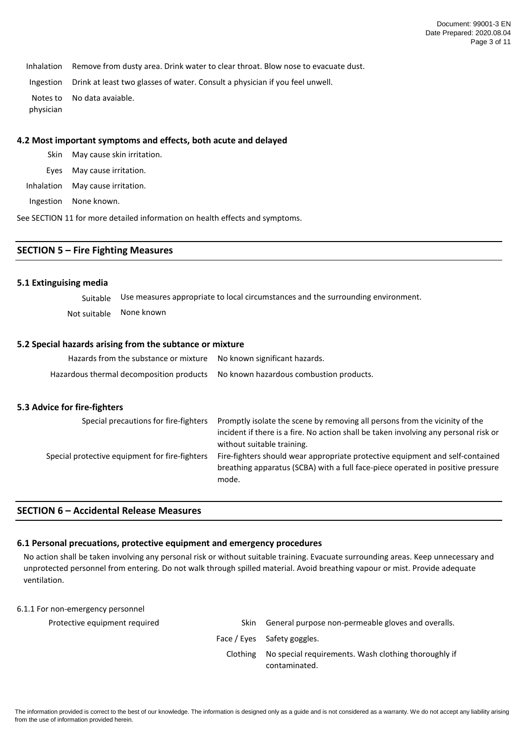Inhalation Ingestion Notes to physician Remove from dusty area. Drink water to clear throat. Blow nose to evacuate dust. Drink at least two glasses of water. Consult a physician if you feel unwell. No data avaiable.

#### **4.2 Most important symptoms and effects, both acute and delayed**

Skin May cause skin irritation.

Eyes May cause irritation.

Inhalation May cause irritation.

Ingestion None known.

See SECTION 11 for more detailed information on health effects and symptoms.

## **SECTION 5 – Fire Fighting Measures**

#### **5.1 Extinguising media**

Suitable Use measures appropriate to local circumstances and the surrounding environment.

Not suitable None known

#### **5.2 Special hazards arising from the subtance or mixture**

| Hazards from the substance or mixture No known significant hazards.              |  |
|----------------------------------------------------------------------------------|--|
| Hazardous thermal decomposition products No known hazardous combustion products. |  |

### **5.3 Advice for fire-fighters**

| Special precautions for fire-fighters          | Promptly isolate the scene by removing all persons from the vicinity of the<br>incident if there is a fire. No action shall be taken involving any personal risk or<br>without suitable training. |
|------------------------------------------------|---------------------------------------------------------------------------------------------------------------------------------------------------------------------------------------------------|
| Special protective equipment for fire-fighters | Fire-fighters should wear appropriate protective equipment and self-contained<br>breathing apparatus (SCBA) with a full face-piece operated in positive pressure<br>mode.                         |

# **SECTION 6 – Accidental Release Measures**

# **6.1 Personal precuations, protective equipment and emergency procedures**

No action shall be taken involving any personal risk or without suitable training. Evacuate surrounding areas. Keep unnecessary and unprotected personnel from entering. Do not walk through spilled material. Avoid breathing vapour or mist. Provide adequate ventilation.

### 6.1.1 For non-emergency personnel

| Protective equipment required | Skin. | General purpose non-permeable gloves and overalls.                             |
|-------------------------------|-------|--------------------------------------------------------------------------------|
|                               |       | Face / Eyes Safety goggles.                                                    |
|                               |       | Clothing No special requirements. Wash clothing thoroughly if<br>contaminated. |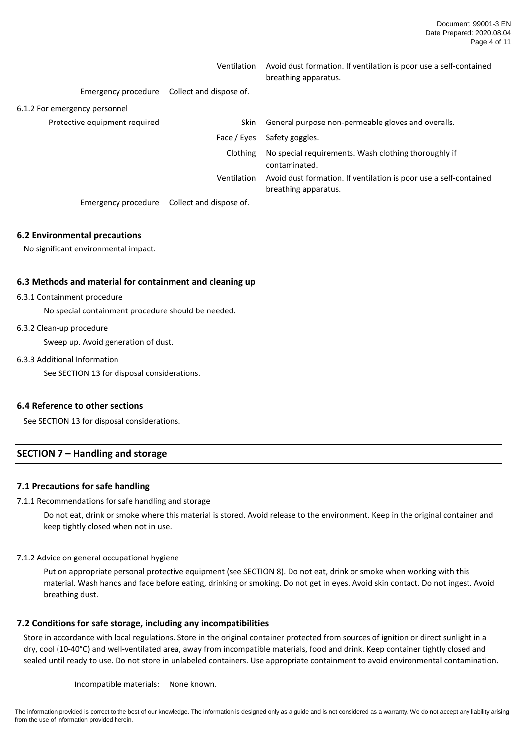|                               | Ventilation             | Avoid dust formation. If ventilation is poor use a self-contained<br>breathing apparatus. |
|-------------------------------|-------------------------|-------------------------------------------------------------------------------------------|
| Emergency procedure           | Collect and dispose of. |                                                                                           |
| 6.1.2 For emergency personnel |                         |                                                                                           |
| Protective equipment required | Skin.                   | General purpose non-permeable gloves and overalls.                                        |
|                               | Face / Eyes             | Safety goggles.                                                                           |
|                               | Clothing                | No special requirements. Wash clothing thoroughly if<br>contaminated.                     |
|                               | Ventilation             | Avoid dust formation. If ventilation is poor use a self-contained<br>breathing apparatus. |
| Emergency procedure           | Collect and dispose of. |                                                                                           |

### **6.2 Environmental precautions**

No significant environmental impact.

# **6.3 Methods and material for containment and cleaning up**

#### 6.3.1 Containment procedure

No special containment procedure should be needed.

#### 6.3.2 Clean-up procedure

Sweep up. Avoid generation of dust.

#### 6.3.3 Additional Information

See SECTION 13 for disposal considerations.

# **6.4 Reference to other sections**

See SECTION 13 for disposal considerations.

# **SECTION 7 – Handling and storage**

### **7.1 Precautions for safe handling**

7.1.1 Recommendations for safe handling and storage

Do not eat, drink or smoke where this material is stored. Avoid release to the environment. Keep in the original container and keep tightly closed when not in use.

7.1.2 Advice on general occupational hygiene

Put on appropriate personal protective equipment (see SECTION 8). Do not eat, drink or smoke when working with this material. Wash hands and face before eating, drinking or smoking. Do not get in eyes. Avoid skin contact. Do not ingest. Avoid breathing dust.

### **7.2 Conditions for safe storage, including any incompatibilities**

Store in accordance with local regulations. Store in the original container protected from sources of ignition or direct sunlight in a dry, cool (10-40°C) and well-ventilated area, away from incompatible materials, food and drink. Keep container tightly closed and sealed until ready to use. Do not store in unlabeled containers. Use appropriate containment to avoid environmental contamination.

Incompatible materials: None known.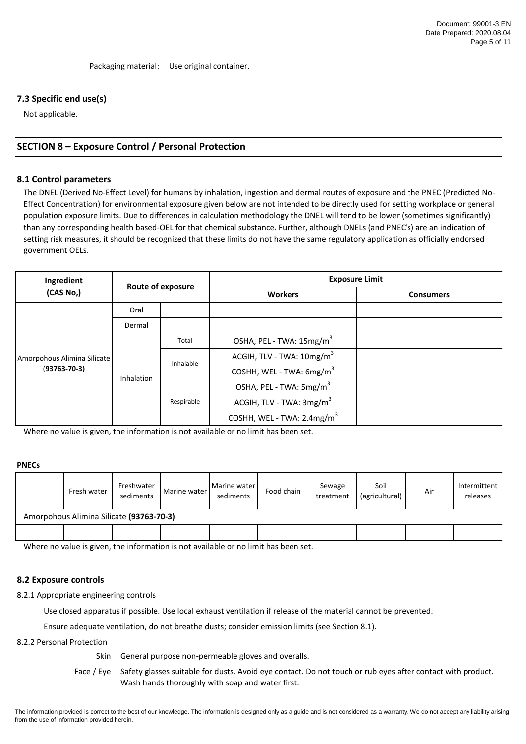# **7.3 Specific end use(s)**

Not applicable.

# **SECTION 8 – Exposure Control / Personal Protection**

#### **8.1 Control parameters**

The DNEL (Derived No-Effect Level) for humans by inhalation, ingestion and dermal routes of exposure and the PNEC (Predicted No-Effect Concentration) for environmental exposure given below are not intended to be directly used for setting workplace or general population exposure limits. Due to differences in calculation methodology the DNEL will tend to be lower (sometimes significantly) than any corresponding health based-OEL for that chemical substance. Further, although DNELs (and PNEC's) are an indication of setting risk measures, it should be recognized that these limits do not have the same regulatory application as officially endorsed government OELs.

| Ingredient                                        | Route of exposure |            | <b>Exposure Limit</b>                  |                  |
|---------------------------------------------------|-------------------|------------|----------------------------------------|------------------|
| (CAS No,)                                         |                   |            | <b>Workers</b>                         | <b>Consumers</b> |
| Oral                                              |                   |            |                                        |                  |
|                                                   | Dermal            |            |                                        |                  |
| Amorpohous Alimina Silicate<br>$(93763 - 70 - 3)$ | Inhalation        | Total      | OSHA, PEL - TWA: 15mg/m <sup>3</sup>   |                  |
|                                                   |                   | Inhalable  | ACGIH, TLV - TWA: 10mg/m <sup>3</sup>  |                  |
|                                                   |                   |            | COSHH, WEL - TWA: 6mg/m <sup>3</sup>   |                  |
|                                                   |                   | Respirable | OSHA, PEL - TWA: 5mg/m <sup>3</sup>    |                  |
|                                                   |                   |            | ACGIH, TLV - TWA: 3mg/m <sup>3</sup>   |                  |
|                                                   |                   |            | COSHH, WEL - TWA: 2.4mg/m <sup>3</sup> |                  |

Where no value is given, the information is not available or no limit has been set.

# **PNECs**

|                                          | Fresh water | Freshwater<br>sediments | Marine water | Marine water<br>sediments | Food chain | Sewage<br>treatment | Soil<br>(agricultural) | Air | Intermittent<br>releases |
|------------------------------------------|-------------|-------------------------|--------------|---------------------------|------------|---------------------|------------------------|-----|--------------------------|
| Amorpohous Alimina Silicate (93763-70-3) |             |                         |              |                           |            |                     |                        |     |                          |
|                                          |             |                         |              |                           |            |                     |                        |     |                          |

Where no value is given, the information is not available or no limit has been set.

#### **8.2 Exposure controls**

8.2.1 Appropriate engineering controls

Use closed apparatus if possible. Use local exhaust ventilation if release of the material cannot be prevented.

Ensure adequate ventilation, do not breathe dusts; consider emission limits (see Section 8.1).

#### 8.2.2 Personal Protection

Skin General purpose non-permeable gloves and overalls.

Face / Eye Safety glasses suitable for dusts. Avoid eye contact. Do not touch or rub eyes after contact with product. Wash hands thoroughly with soap and water first.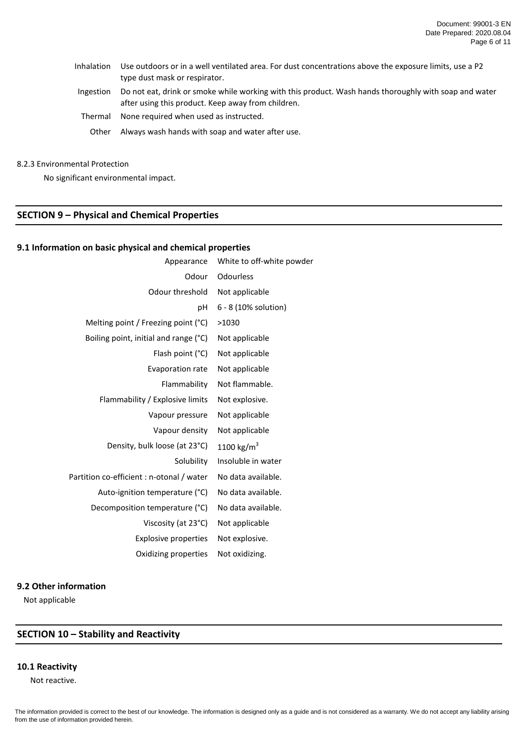- Inhalation Use outdoors or in a well ventilated area. For dust concentrations above the exposure limits, use a P2 type dust mask or respirator.
- Ingestion Do not eat, drink or smoke while working with this product. Wash hands thoroughly with soap and water after using this product. Keep away from children.
- Thermal None required when used as instructed.
	- Other Always wash hands with soap and water after use.

#### 8.2.3 Environmental Protection

No significant environmental impact.

# **SECTION 9 – Physical and Chemical Properties**

# **9.1 Information on basic physical and chemical properties**

| Appearance                                | White to off-white powder |
|-------------------------------------------|---------------------------|
| Odour                                     | Odourless                 |
| Odour threshold                           | Not applicable            |
| рH                                        | 6 - 8 (10% solution)      |
| Melting point / Freezing point (°C)       | >1030                     |
| Boiling point, initial and range (°C)     | Not applicable            |
| Flash point (°C)                          | Not applicable            |
| <b>Evaporation rate</b>                   | Not applicable            |
| Flammability                              | Not flammable.            |
| Flammability / Explosive limits           | Not explosive.            |
| Vapour pressure                           | Not applicable            |
| Vapour density                            | Not applicable            |
| Density, bulk loose (at 23°C)             | 1100 kg/ $m^3$            |
| Solubility                                | Insoluble in water        |
| Partition co-efficient : n-otonal / water | No data available.        |
| Auto-ignition temperature (°C)            | No data available.        |
| Decomposition temperature (°C)            | No data available.        |
| Viscosity (at 23°C)                       | Not applicable            |
| <b>Explosive properties</b>               | Not explosive.            |
| Oxidizing properties                      | Not oxidizing.            |

# **9.2 Other information**

Not applicable

# **SECTION 10 – Stability and Reactivity**

### **10.1 Reactivity**

Not reactive.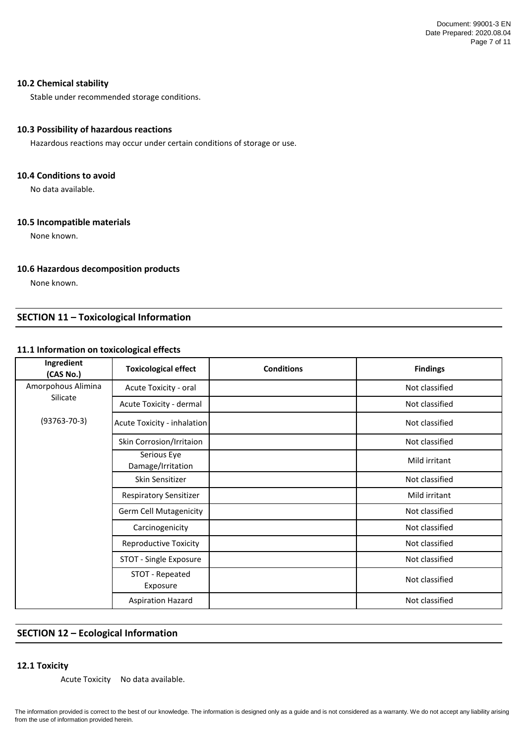# **10.2 Chemical stability**

Stable under recommended storage conditions.

# **10.3 Possibility of hazardous reactions**

Hazardous reactions may occur under certain conditions of storage or use.

### **10.4 Conditions to avoid**

No data available.

# **10.5 Incompatible materials**

None known.

# **10.6 Hazardous decomposition products**

None known.

# **SECTION 11 – Toxicological Information**

# **11.1 Information on toxicological effects**

| Ingredient<br>(CAS No.)        | <b>Toxicological effect</b>      | <b>Conditions</b> | <b>Findings</b> |
|--------------------------------|----------------------------------|-------------------|-----------------|
| Amorpohous Alimina<br>Silicate | Acute Toxicity - oral            |                   | Not classified  |
|                                | Acute Toxicity - dermal          |                   | Not classified  |
| $(93763 - 70 - 3)$             | Acute Toxicity - inhalation      |                   | Not classified  |
|                                | Skin Corrosion/Irritaion         |                   | Not classified  |
|                                | Serious Eye<br>Damage/Irritation |                   | Mild irritant   |
|                                | Skin Sensitizer                  |                   | Not classified  |
|                                | <b>Respiratory Sensitizer</b>    |                   | Mild irritant   |
|                                | <b>Germ Cell Mutagenicity</b>    |                   | Not classified  |
|                                | Carcinogenicity                  |                   | Not classified  |
|                                | <b>Reproductive Toxicity</b>     |                   | Not classified  |
|                                | STOT - Single Exposure           |                   | Not classified  |
|                                | STOT - Repeated<br>Exposure      |                   | Not classified  |
|                                | <b>Aspiration Hazard</b>         |                   | Not classified  |

# **SECTION 12 – Ecological Information**

### **12.1 Toxicity**

Acute Toxicity No data available.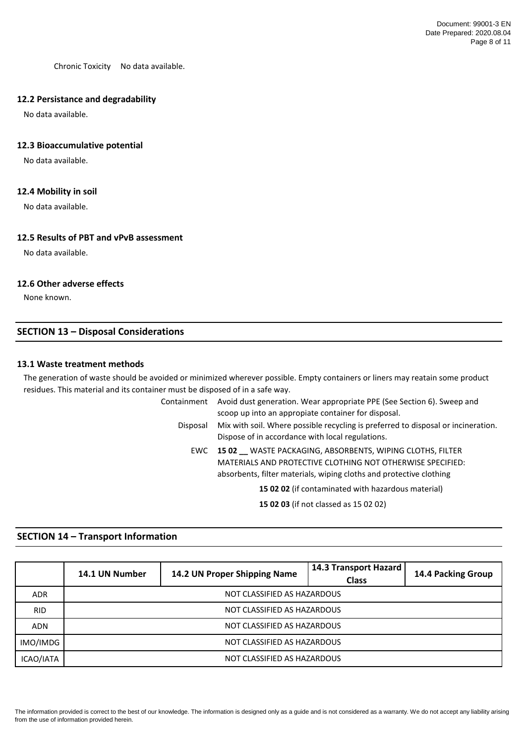Chronic Toxicity No data available.

# **12.2 Persistance and degradability**

No data available.

# **12.3 Bioaccumulative potential**

No data available.

# **12.4 Mobility in soil**

No data available.

# **12.5 Results of PBT and vPvB assessment**

No data available.

# **12.6 Other adverse effects**

None known.

# **SECTION 13 – Disposal Considerations**

# **13.1 Waste treatment methods**

The generation of waste should be avoided or minimized wherever possible. Empty containers or liners may reatain some product residues. This material and its container must be disposed of in a safe way.

EWC **15 02 \_\_** WASTE PACKAGING, ABSORBENTS, WIPING CLOTHS, FILTER MATERIALS AND PROTECTIVE CLOTHING NOT OTHERWISE SPECIFIED: Containment Avoid dust generation. Wear appropriate PPE (See Section 6). Sweep and scoop up into an appropiate container for disposal. Disposal Mix with soil. Where possible recycling is preferred to disposal or incineration. Dispose of in accordance with local regulations.

absorbents, filter materials, wiping cloths and protective clothing

**15 02 02** (if contaminated with hazardous material)

**15 02 03** (if not classed as 15 02 02)

# **SECTION 14 – Transport Information**

|            | 14.1 UN Number              | 14.2 UN Proper Shipping Name | 14.3 Transport Hazard<br><b>Class</b> | <b>14.4 Packing Group</b> |
|------------|-----------------------------|------------------------------|---------------------------------------|---------------------------|
| <b>ADR</b> | NOT CLASSIFIED AS HAZARDOUS |                              |                                       |                           |
| <b>RID</b> | NOT CLASSIFIED AS HAZARDOUS |                              |                                       |                           |
| <b>ADN</b> | NOT CLASSIFIED AS HAZARDOUS |                              |                                       |                           |
| IMO/IMDG   | NOT CLASSIFIED AS HAZARDOUS |                              |                                       |                           |
| ICAO/IATA  | NOT CLASSIFIED AS HAZARDOUS |                              |                                       |                           |

The information provided is correct to the best of our knowledge. The information is designed only as a guide and is not considered as a warranty. We do not accept any liability arising from the use of information provided herein.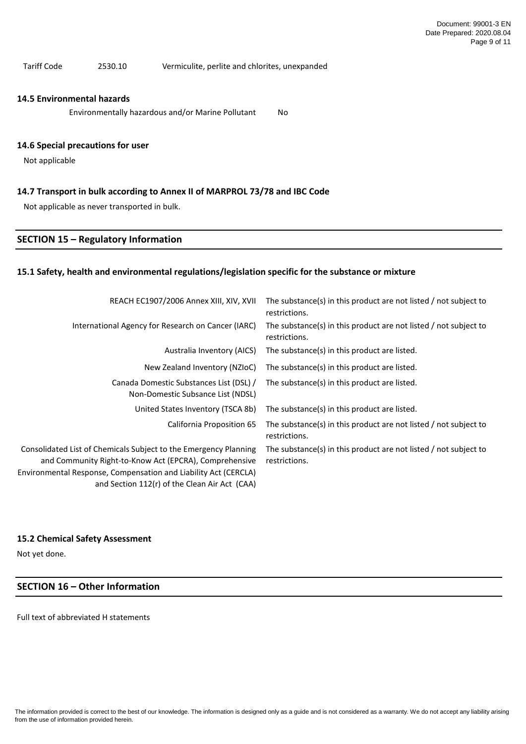Tariff Code 2530.10 Vermiculite, perlite and chlorites, unexpanded

#### **14.5 Environmental hazards**

No Environmentally hazardous and/or Marine Pollutant

## **14.6 Special precautions for user**

Not applicable

### **14.7 Transport in bulk according to Annex II of MARPROL 73/78 and IBC Code**

Not applicable as never transported in bulk.

# **SECTION 15 – Regulatory Information**

# **15.1 Safety, health and environmental regulations/legislation specific for the substance or mixture**

| REACH EC1907/2006 Annex XIII, XIV, XVII                                                                                                                                                                                                        | The substance(s) in this product are not listed / not subject to<br>restrictions. |
|------------------------------------------------------------------------------------------------------------------------------------------------------------------------------------------------------------------------------------------------|-----------------------------------------------------------------------------------|
| International Agency for Research on Cancer (IARC)                                                                                                                                                                                             | The substance(s) in this product are not listed / not subject to<br>restrictions. |
| Australia Inventory (AICS)                                                                                                                                                                                                                     | The substance(s) in this product are listed.                                      |
| New Zealand Inventory (NZIoC)                                                                                                                                                                                                                  | The substance(s) in this product are listed.                                      |
| Canada Domestic Substances List (DSL) /<br>Non-Domestic Subsance List (NDSL)                                                                                                                                                                   | The substance(s) in this product are listed.                                      |
| United States Inventory (TSCA 8b)                                                                                                                                                                                                              | The substance(s) in this product are listed.                                      |
| California Proposition 65                                                                                                                                                                                                                      | The substance(s) in this product are not listed / not subject to<br>restrictions. |
| Consolidated List of Chemicals Subject to the Emergency Planning<br>and Community Right-to-Know Act (EPCRA), Comprehensive<br>Environmental Response, Compensation and Liability Act (CERCLA)<br>and Section 112(r) of the Clean Air Act (CAA) | The substance(s) in this product are not listed / not subject to<br>restrictions. |

# **15.2 Chemical Safety Assessment**

Not yet done.

# **SECTION 16 – Other Information**

Full text of abbreviated H statements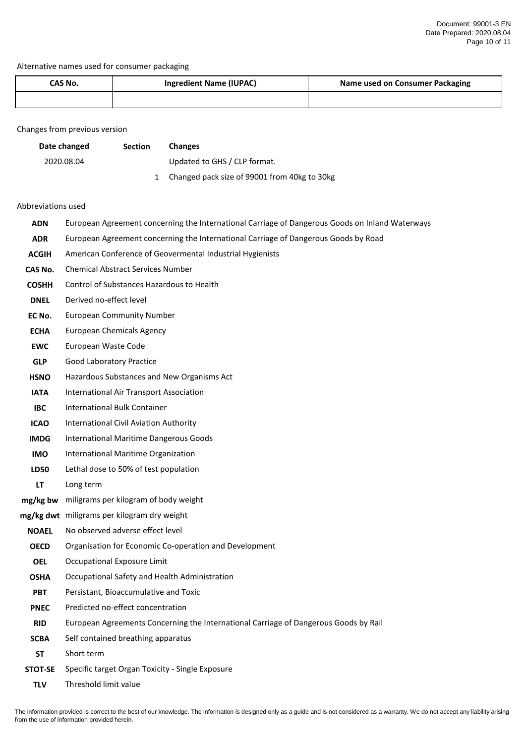### Alternative names used for consumer packaging

| CAS No. | <b>Ingredient Name (IUPAC)</b> | Name used on Consumer Packaging |
|---------|--------------------------------|---------------------------------|
|         |                                |                                 |

Changes from previous version

| Date changed | <b>Section</b> | <b>Changes</b>               |
|--------------|----------------|------------------------------|
| 2020.08.04   |                | Updated to GHS / CLP format. |

1 Changed pack size of 99001 from 40kg to 30kg

#### Abbreviations used

| <b>ADN</b>     | European Agreement concerning the International Carriage of Dangerous Goods on Inland Waterways |
|----------------|-------------------------------------------------------------------------------------------------|
| <b>ADR</b>     | European Agreement concerning the International Carriage of Dangerous Goods by Road             |
| <b>ACGIH</b>   | American Conference of Geovermental Industrial Hygienists                                       |
| CAS No.        | <b>Chemical Abstract Services Number</b>                                                        |
| <b>COSHH</b>   | Control of Substances Hazardous to Health                                                       |
| <b>DNEL</b>    | Derived no-effect level                                                                         |
| EC No.         | <b>European Community Number</b>                                                                |
| <b>ECHA</b>    | <b>European Chemicals Agency</b>                                                                |
| <b>EWC</b>     | European Waste Code                                                                             |
| <b>GLP</b>     | Good Laboratory Practice                                                                        |
| <b>HSNO</b>    | Hazardous Substances and New Organisms Act                                                      |
| <b>IATA</b>    | International Air Transport Association                                                         |
| <b>IBC</b>     | <b>International Bulk Container</b>                                                             |
| <b>ICAO</b>    | International Civil Aviation Authority                                                          |
| <b>IMDG</b>    | <b>International Maritime Dangerous Goods</b>                                                   |
| <b>IMO</b>     | International Maritime Organization                                                             |
| <b>LD50</b>    | Lethal dose to 50% of test population                                                           |
| LT             | Long term                                                                                       |
| mg/kg bw       | miligrams per kilogram of body weight                                                           |
|                | mg/kg dwt miligrams per kilogram dry weight                                                     |
| <b>NOAEL</b>   | No observed adverse effect level                                                                |
| <b>OECD</b>    | Organisation for Economic Co-operation and Development                                          |
| <b>OEL</b>     | Occupational Exposure Limit                                                                     |
| <b>OSHA</b>    | Occupational Safety and Health Administration                                                   |
| <b>PBT</b>     | Persistant, Bioaccumulative and Toxic                                                           |
| <b>PNEC</b>    | Predicted no-effect concentration                                                               |
| <b>RID</b>     | European Agreements Concerning the International Carriage of Dangerous Goods by Rail            |
| <b>SCBA</b>    | Self contained breathing apparatus                                                              |
| <b>ST</b>      | Short term                                                                                      |
| <b>STOT-SE</b> | Specific target Organ Toxicity - Single Exposure                                                |
| <b>TLV</b>     | Threshold limit value                                                                           |